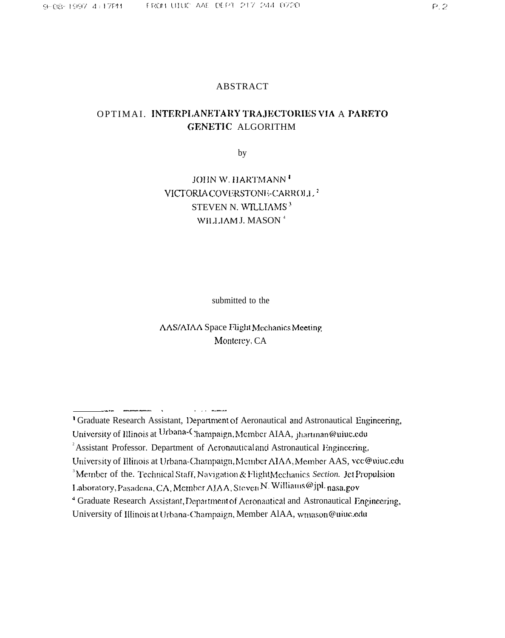## **ABSTRACT**

## OPTIMAL INTERPLANETARY TRAJECTORIES VIA A PARETO GENETIC ALGORITHM

by

# JOHN W. HARTMANN<sup>T</sup> VICTORIA COVERSTONE-CARROLL<sup>2</sup> STEVEN N. WILLIAMS<sup>3</sup> WILLIAM J. MASON<sup>4</sup>

submitted to the

AAS/AIAA Space Flight Mechanics Meeting Monterey, CA

متسلم الأداري

<sup>&</sup>lt;sup>1</sup> Graduate Research Assistant, Department of Aeronautical and Astronautical Engineering,

University of Illinois at Urbana-Champaign, Member AIAA, jhartman@uiuc.edu

<sup>&</sup>lt;sup>2</sup> Assistant Professor. Department of Aeronautical and Astronautical Engineering,

University of Illinois at Urbana-Champaign, Member AIAA, Member AAS, vcc@uiuc.edu

<sup>&</sup>lt;sup>3</sup>Member of the. Technical Staff, Navigation & FlightMechanics Section. Jet Propulsion

Laboratory, Pasadena, CA, Member AJAA, Steven N. Williams@jpl. nasa.gov

<sup>&</sup>lt;sup>4</sup> Graduate Research Assistant, Department of Aeronautical and Astronautical Engineering,

University of Illinois at Urbana-Champaign, Member AlAA, wmason@uiuc.edu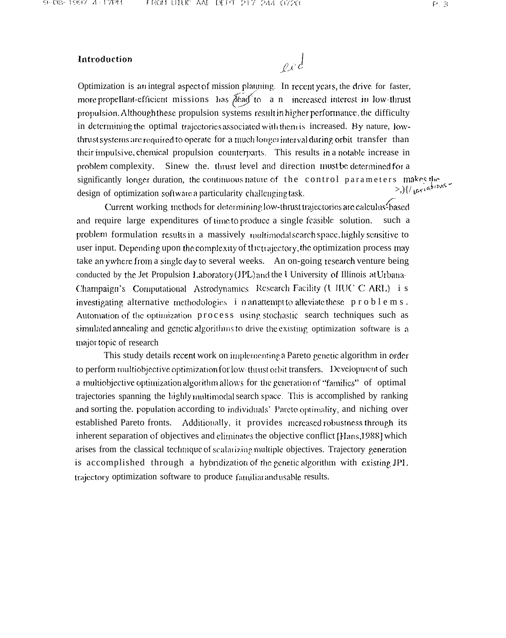### Introduction

 $ex^{d}$ 

Optimization is an integral aspect of mission planning. In recent years, the drive for faster, more propellant-efficient missions has *flead* to a n increased interest in low-thrust propulsion. Although these propulsion systems result in higher performance, the difficulty in determining the optimal trajectories associated with them is increased. By nature, lowthrust systems are required to operate for a much longer interval during orbit transfer than their impulsive, chemical propulsion counterparts. This results in a notable increase in problem complexity. Sinew the, thrust level and direction must be determined for a significantly longer duration, the continuous nature of the control parameters makes the<br>  $\frac{1}{2}$ <br>  $\frac{1}{2}$ design of optimization software a particularity challenging task.

Current working methods for determining low-thrust trajectories are calculus-based and require large expenditures of time to produce a single feasible solution. such a problem formulation results in a massively multimodal search space, highly sensitive to user input. Depending upon the complexity of thetrajectory, the optimization process may take an ywhere from a single day to several weeks. An on-going research venture being conducted by the Jet Propulsion Laboratory (JPL) and the University of Illinois at Urbana-Champaign's Computational Astrodynamics Research Facility (UIIUC C ARL) i s investigating alternative methodologies  $\mathbf{i}$  n an attempt to alleviate these p r o b l e m s. Automation of the optimization process using stochastic search techniques such as simulated annealing and genetic algorithms to drive the existing optimization software is a major topic of research

This study details recent work on implementing a Pareto genetic algorithm in order to perform multiobjective optimization for low-thrust orbit transfers. Development of such a multiobjective optimization algorithm allows for the generation of "families" of optimal trajectories spanning the highly multimodal search space. This is accomplished by ranking and sorting the population according to individuals' Pareto optimality, and niching over established Pareto fronts. Additionally, it provides increased robustness through its inherent separation of objectives and eliminates the objective conflict [Hans, 1988] which arises from the classical technique of scalarizing multiple objectives. Trajectory generation is accomplished through a hybridization of the genetic algorithm with existing JPL. trajectory optimization software to produce familiar andusable results.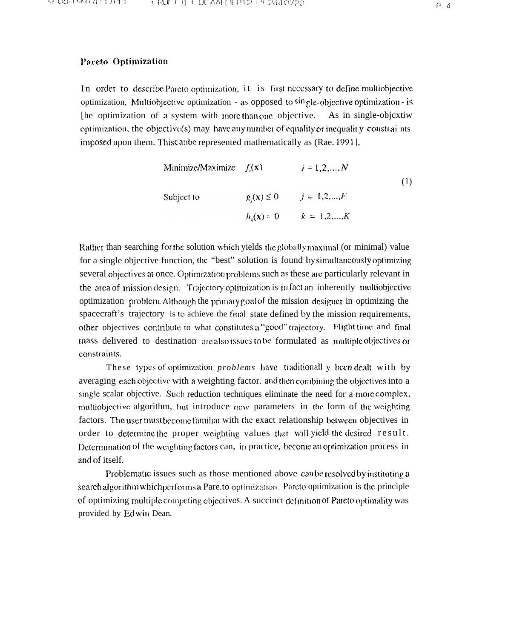#### Pareto Optimization

In order to describe Pareto optimization, it is first necessary to define multiobjective optimization, Multiobjective optimization - as opposed to sin gle-objective optimization - is The optimization of a system with more than one objective. As in single-objective optimization, the objective(s) may have any number of equality or inequality constraints imposed upon them. This cause represented mathematically as (Rae. 1991],

Minimize/Maximize 
$$
f_i(\mathbf{x})
$$
  $i = 1, 2, ..., N$   
\nSubject to  $g_j(\mathbf{x}) \le 0$   $j = 1, 2, ..., K$   
\n $h_k(\mathbf{x}) = 0$   $k = 1, 2, ..., K$ 

Rather than searching for the solution which yields the globally maximal (or minimal) value for a single objective function, the "best" solution is found by simultaneously optimizing several objectives at once. Optimization problems such as these are particularly relevant in the area of mission design. Trajectory optimization is in fact an inherently multiobjective optimization problem. Although the primary goal of the mission designer in optimizing the spacecraft's trajectory is to achieve the final state defined by the mission requirements, other objectives contribute to what constitutes a "good" trajectory. Flight time and final mass delivered to destination are also issues to be formulated as multiple objectives or constraints.

These types of optimization *problems* have traditionall y been dealt with by averaging each objective with a weighting factor, and then combining the objectives into a single scalar objective. Such reduction techniques eliminate the need for a more complex, multiobjective algorithm, but introduce new parameters in the form of the weighting factors. The user must become familiar with the exact relationship between objectives in order to determine the proper weighting values that will yield the desired result. Determination of the weighting factors can, in practice, become an optimization process in and of itself.

Problematic issues such as those mentioned above can be resolved by instituting a search algorithm which performs a Pare to optimization. Pareto optimization is the principle of optimizing multiple competing objectives. A succinct definition of Pareto optimality was provided by Edwin Dean.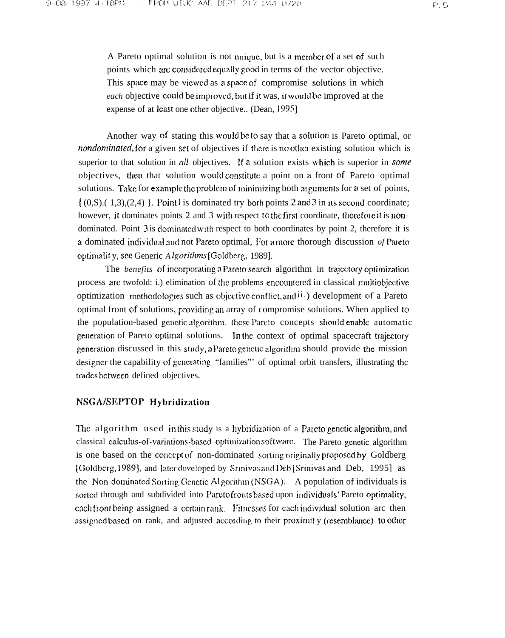Another way of stating this would be to say that a solution is Pareto optimal, or *nondominated*, for a given set of objectives if there is no other existing solution which is superior to that solution in all objectives. If a solution exists which is superior in some objectives, then that solution would constitute a point on a front of Pareto optimal solutions. Take for example the problem of minimizing both arguments for a set of points,  $\{(0, S), (1, 3), (2, 4)\}\$ . Point is dominated try both points 2 and 3 in its second coordinate; however, it dominates points 2 and 3 with respect to the first coordinate, therefore it is nondominated. Point 3 is dominated with respect to both coordinates by point 2, therefore it is a dominated individual and not Pareto optimal, For a more thorough discussion of Pareto optimality, see Generic Algorithms [Goldberg, 1989].

The *benefits* of incorporating a Pareto search algorithm in trajectory optimization process are twofold: i.) elimination of the problems encountered in classical multiobjective optimization methodologies such as objective conflict, and  $\ddot{n}$ .) development of a Pareto optimal front of solutions, providing an array of compromise solutions. When applied to the population-based geneticalgorithm, these Pareto concepts should enable automatic generation of Pareto optimal solutions. In the context of optimal spacecraft trajectory generation discussed in this study, a Pareto genetic algorithm should provide the mission designer the capability of generating "families" of optimal orbit transfers, illustrating the trades between defined objectives.

## NSGA/SEPTOP Hybridization

The algorithm used in this study is a hybridization of a Pareto genetic algorithm, and classical calculus-of-variations-based optimization software. The Pareto genetic algorithm is one based on the concept of non-dominated sorting originally proposed by Goldberg [Goldberg, 1989], and later developed by Srinivas and Deb [Srinivas and Deb, 1995] as the Non-dominated Sorting Genetic Al gorithm (NSGA). A population of individuals is sorted through and subdivided into Pareto fronts based upon individuals' Pareto optimality, each front being assigned a certain rank. Fitnesses for each individual solution arc then assigned based on rank, and adjusted according to their proximity (resemblance) to other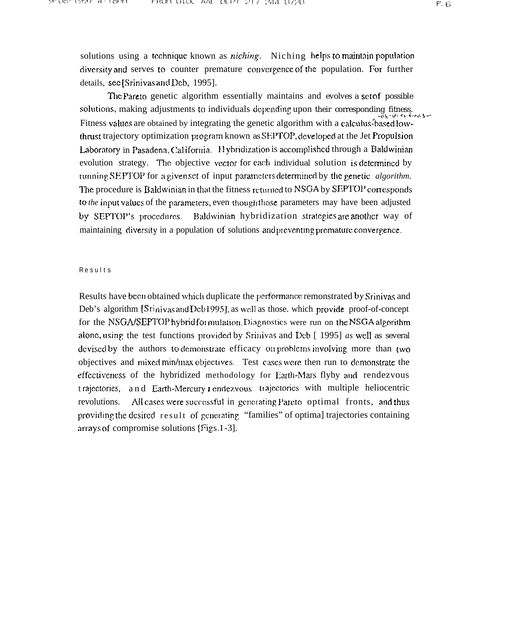solutions using a technique known as *niching*. Niching helps to maintain population diversity and serves to counter premature convergence of the population. For further details, see [Srinivas and Deb, 1995].

The Pareto genetic algorithm essentially maintains and evolves a set of possible solutions, making adjustments to individuals depending upon their corresponding fitness. Fitness values are obtained by integrating the genetic algorithm with a calculus-based lowthrust trajectory optimization program known as SEPTOP, developed at the Jet Propulsion Laboratory in Pasadena, California. Hybridization is accomplished through a Baldwinian evolution strategy. The objective vector for each individual solution is determined by running SEPTOP for a given set of input parameters determined by the genetic *algorithm*. The procedure is Baldwinian in that the fitness returned to NSGA by SEPTOP corresponds to the input values of the parameters, even though those parameters may have been adjusted by SEPTOP's procedures. Baldwinian hybridization strategies are another way of maintaining diversity in a population of solutions and preventing premature convergence.

#### Results

Results have been obtained which duplicate the performance remonstrated by Srinivas and Deb's algorithm [Stinivas and Deb1995], as well as those, which provide proof-of-concept for the NSGA/SEPTOP hybrid formulation. Diagnostics were run on the NSGA algorithm alone, using the test functions provided by Srinivas and Deb [ 1995] as well as several devised by the authors to demonstrate efficacy on problems involving more than two objectives and mixed min/max objectives. Test cases were then run to demonstrate the effectiveness of the hybridized methodology for Earth-Mars flyby and rendezvous trajectories, and Earth-Mercury r endezyous trajectories with multiple heliocentric revolutions. All cases were successful in generating Pareto optimal fronts, and thus providing the desired result of generating "families" of optimal trajectories containing arrays of compromise solutions [Figs. 1-3].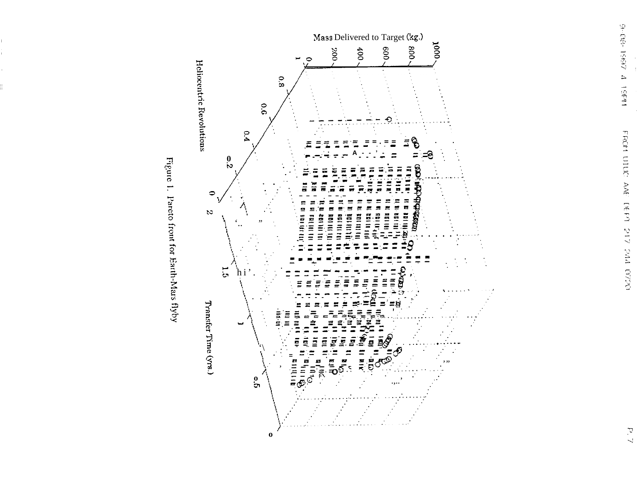

Figure 1. Pareto front for Earth-Mars flyby

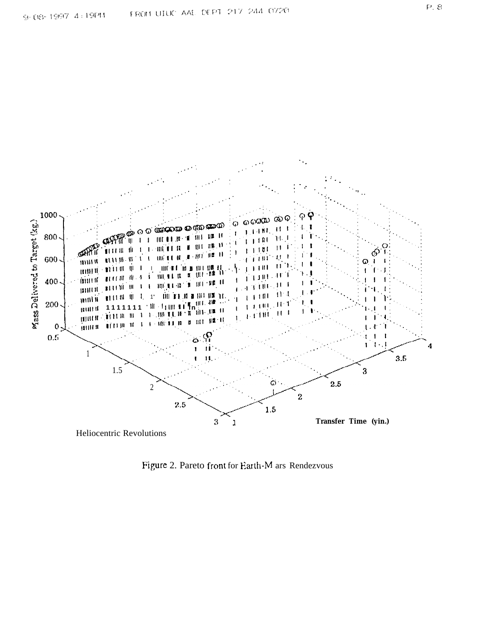

Figure 2. Pareto front for Earth-M ars Rendezvous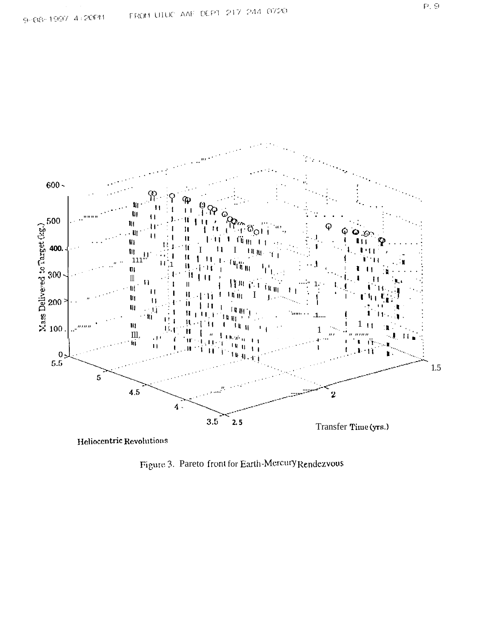

Heliocentric Revolutions

Figure 3. Pareto front for Earth-Mercury Rendezvous